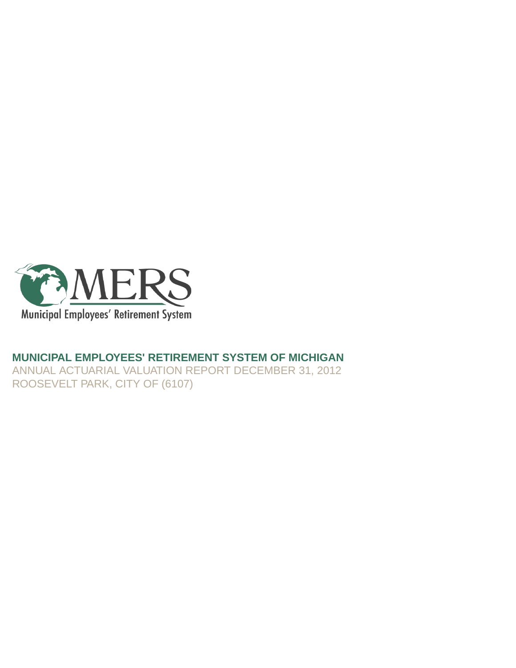

## **MUNICIPAL EMPLOYEES' RETIREMENT SYSTEM OF MICHIGAN**

ANNUAL ACTUARIAL VALUATION REPORT DECEMBER 31, 2012 ROOSEVELT PARK, CITY OF (6107)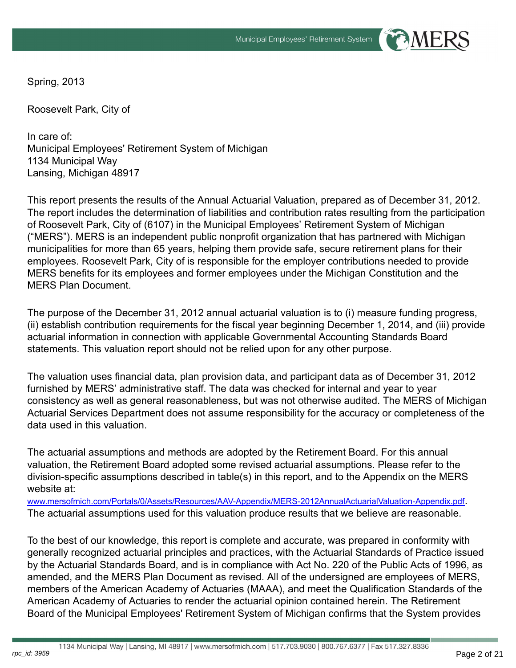Spring, 2013

Roosevelt Park, City of

In care of: Municipal Employees' Retirement System of Michigan 1134 Municipal Way Lansing, Michigan 48917

This report presents the results of the Annual Actuarial Valuation, prepared as of December 31, 2012. The report includes the determination of liabilities and contribution rates resulting from the participation of Roosevelt Park, City of (6107) in the Municipal Employees' Retirement System of Michigan ("MERS"). MERS is an independent public nonprofit organization that has partnered with Michigan municipalities for more than 65 years, helping them provide safe, secure retirement plans for their employees. Roosevelt Park, City of is responsible for the employer contributions needed to provide MERS benefits for its employees and former employees under the Michigan Constitution and the MERS Plan Document.

The purpose of the December 31, 2012 annual actuarial valuation is to (i) measure funding progress, (ii) establish contribution requirements for the fiscal year beginning December 1, 2014, and (iii) provide actuarial information in connection with applicable Governmental Accounting Standards Board statements. This valuation report should not be relied upon for any other purpose.

The valuation uses financial data, plan provision data, and participant data as of December 31, 2012 furnished by MERS' administrative staff. The data was checked for internal and year to year consistency as well as general reasonableness, but was not otherwise audited. The MERS of Michigan Actuarial Services Department does not assume responsibility for the accuracy or completeness of the data used in this valuation.

The actuarial assumptions and methods are adopted by the Retirement Board. For this annual valuation, the Retirement Board adopted some revised actuarial assumptions. Please refer to the division-specific assumptions described in table(s) in this report, and to the Appendix on the MERS website at:

[www.mersofmich.com/Portals/0/Assets/Resources/AAV-Appendix/MERS-2012AnnualActuarialValuation-Appendix.pdf](http://www.mersofmich.com/Portals/0/Assets/Resources/AAV-Appendix/MERS-2012AnnualActuarialValuation-Appendix.pdf). The actuarial assumptions used for this valuation produce results that we believe are reasonable.

To the best of our knowledge, this report is complete and accurate, was prepared in conformity with generally recognized actuarial principles and practices, with the Actuarial Standards of Practice issued by the Actuarial Standards Board, and is in compliance with Act No. 220 of the Public Acts of 1996, as amended, and the MERS Plan Document as revised. All of the undersigned are employees of MERS, members of the American Academy of Actuaries (MAAA), and meet the Qualification Standards of the American Academy of Actuaries to render the actuarial opinion contained herein. The Retirement Board of the Municipal Employees' Retirement System of Michigan confirms that the System provides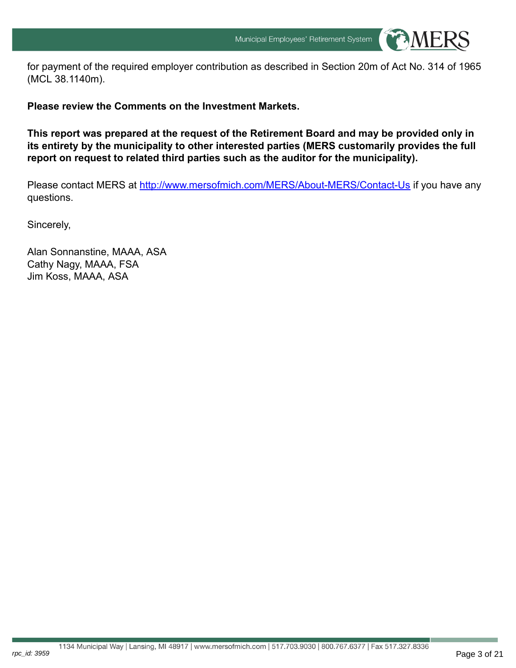

for payment of the required employer contribution as described in Section 20m of Act No. 314 of 1965 (MCL 38.1140m).

**Please review the Comments on the Investment Markets.**

**This report was prepared at the request of the Retirement Board and may be provided only in its entirety by the municipality to other interested parties (MERS customarily provides the full report on request to related third parties such as the auditor for the municipality).**

Please contact MERS at <http://www.mersofmich.com/MERS/About-MERS/Contact-Us> if you have any questions.

Sincerely,

rpc\_id: 3959

Alan Sonnanstine, MAAA, ASA Cathy Nagy, MAAA, FSA Jim Koss, MAAA, ASA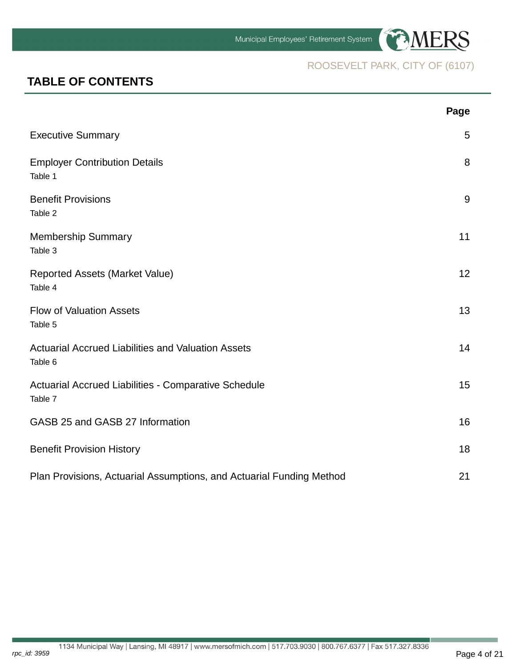

## **TABLE OF CONTENTS**

|                                                                      | Page |
|----------------------------------------------------------------------|------|
| <b>Executive Summary</b>                                             | 5    |
| <b>Employer Contribution Details</b><br>Table 1                      | 8    |
| <b>Benefit Provisions</b><br>Table 2                                 | 9    |
| <b>Membership Summary</b><br>Table 3                                 | 11   |
| <b>Reported Assets (Market Value)</b><br>Table 4                     | 12   |
| <b>Flow of Valuation Assets</b><br>Table 5                           | 13   |
| <b>Actuarial Accrued Liabilities and Valuation Assets</b><br>Table 6 | 14   |
| Actuarial Accrued Liabilities - Comparative Schedule<br>Table 7      | 15   |
| GASB 25 and GASB 27 Information                                      | 16   |
| <b>Benefit Provision History</b>                                     | 18   |
| Plan Provisions, Actuarial Assumptions, and Actuarial Funding Method | 21   |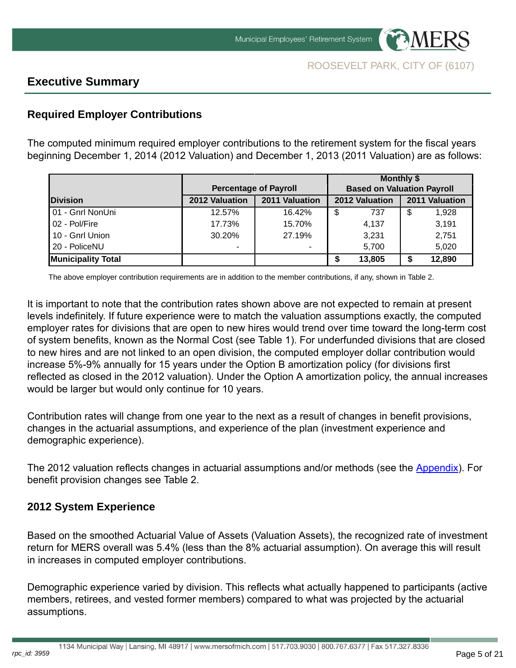

## **Executive Summary**

## **Required Employer Contributions**

The computed minimum required employer contributions to the retirement system for the fiscal years beginning December 1, 2014 (2012 Valuation) and December 1, 2013 (2011 Valuation) are as follows:

|                           |                |                              | <b>Monthly \$</b>                 |                |
|---------------------------|----------------|------------------------------|-----------------------------------|----------------|
|                           |                | <b>Percentage of Payroll</b> | <b>Based on Valuation Payroll</b> |                |
| <b>IDivision</b>          | 2012 Valuation | 2011 Valuation               | 2012 Valuation                    | 2011 Valuation |
| 01 - Gnrl NonUni          | 12.57%         | 16.42%                       | \$<br>737                         | \$<br>1,928    |
| 02 - Pol/Fire             | 17.73%         | 15.70%                       | 4,137                             | 3,191          |
| 10 - Gnrl Union           | 30.20%         | 27.19%                       | 3,231                             | 2,751          |
| 20 - PoliceNU             | ٠              | ۰                            | 5,700                             | 5,020          |
| <b>Municipality Total</b> |                |                              | 13,805                            | 12,890         |

The above employer contribution requirements are in addition to the member contributions, if any, shown in Table 2.

It is important to note that the contribution rates shown above are not expected to remain at present levels indefinitely. If future experience were to match the valuation assumptions exactly, the computed employer rates for divisions that are open to new hires would trend over time toward the long-term cost of system benefits, known as the Normal Cost (see Table 1). For underfunded divisions that are closed to new hires and are not linked to an open division, the computed employer dollar contribution would increase 5%-9% annually for 15 years under the Option B amortization policy (for divisions first reflected as closed in the 2012 valuation). Under the Option A amortization policy, the annual increases would be larger but would only continue for 10 years.

Contribution rates will change from one year to the next as a result of changes in benefit provisions, changes in the actuarial assumptions, and experience of the plan (investment experience and demographic experience).

The 2012 valuation reflects changes in actuarial assumptions and/or methods (see the [Appendix\)](http://www.mersofmich.com/Portals/0/Assets/Resources/AAV-Appendix/MERS-2012AnnualActuarialValuation-Appendix.pdf). For benefit provision changes see Table 2.

## **2012 System Experience**

Based on the smoothed Actuarial Value of Assets (Valuation Assets), the recognized rate of investment return for MERS overall was 5.4% (less than the 8% actuarial assumption). On average this will result in increases in computed employer contributions.

Demographic experience varied by division. This reflects what actually happened to participants (active members, retirees, and vested former members) compared to what was projected by the actuarial assumptions.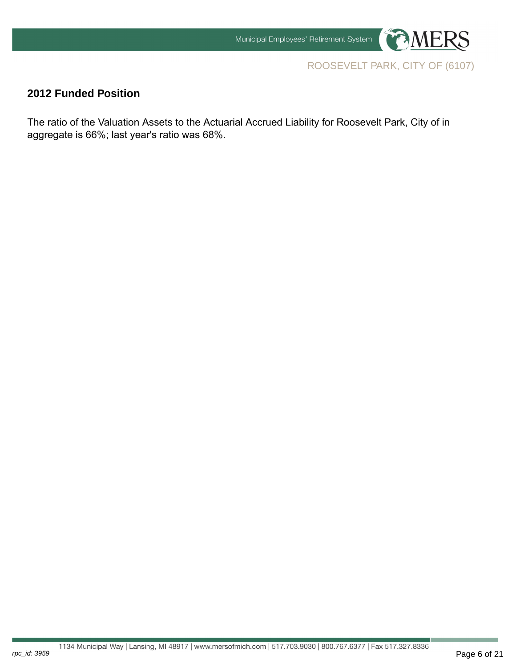

## **2012 Funded Position**

rpc\_id: 3959

The ratio of the Valuation Assets to the Actuarial Accrued Liability for Roosevelt Park, City of in aggregate is 66%; last year's ratio was 68%.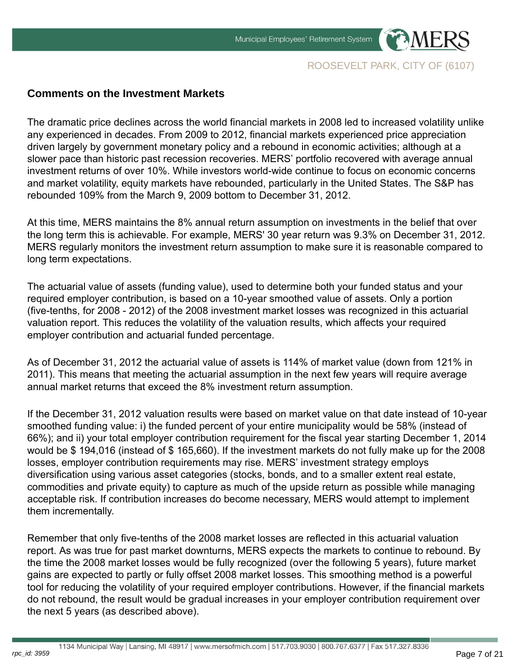

## **Comments on the Investment Markets**

The dramatic price declines across the world financial markets in 2008 led to increased volatility unlike any experienced in decades. From 2009 to 2012, financial markets experienced price appreciation driven largely by government monetary policy and a rebound in economic activities; although at a slower pace than historic past recession recoveries. MERS' portfolio recovered with average annual investment returns of over 10%. While investors world-wide continue to focus on economic concerns and market volatility, equity markets have rebounded, particularly in the United States. The S&P has rebounded 109% from the March 9, 2009 bottom to December 31, 2012.

At this time, MERS maintains the 8% annual return assumption on investments in the belief that over the long term this is achievable. For example, MERS' 30 year return was 9.3% on December 31, 2012. MERS regularly monitors the investment return assumption to make sure it is reasonable compared to long term expectations.

The actuarial value of assets (funding value), used to determine both your funded status and your required employer contribution, is based on a 10-year smoothed value of assets. Only a portion (five-tenths, for 2008 - 2012) of the 2008 investment market losses was recognized in this actuarial valuation report. This reduces the volatility of the valuation results, which affects your required employer contribution and actuarial funded percentage.

As of December 31, 2012 the actuarial value of assets is 114% of market value (down from 121% in 2011). This means that meeting the actuarial assumption in the next few years will require average annual market returns that exceed the 8% investment return assumption.

If the December 31, 2012 valuation results were based on market value on that date instead of 10-year smoothed funding value: i) the funded percent of your entire municipality would be 58% (instead of 66%); and ii) your total employer contribution requirement for the fiscal year starting December 1, 2014 would be \$ 194,016 (instead of \$ 165,660). If the investment markets do not fully make up for the 2008 losses, employer contribution requirements may rise. MERS' investment strategy employs diversification using various asset categories (stocks, bonds, and to a smaller extent real estate, commodities and private equity) to capture as much of the upside return as possible while managing acceptable risk. If contribution increases do become necessary, MERS would attempt to implement them incrementally.

Remember that only five-tenths of the 2008 market losses are reflected in this actuarial valuation report. As was true for past market downturns, MERS expects the markets to continue to rebound. By the time the 2008 market losses would be fully recognized (over the following 5 years), future market gains are expected to partly or fully offset 2008 market losses. This smoothing method is a powerful tool for reducing the volatility of your required employer contributions. However, if the financial markets do not rebound, the result would be gradual increases in your employer contribution requirement over the next 5 years (as described above).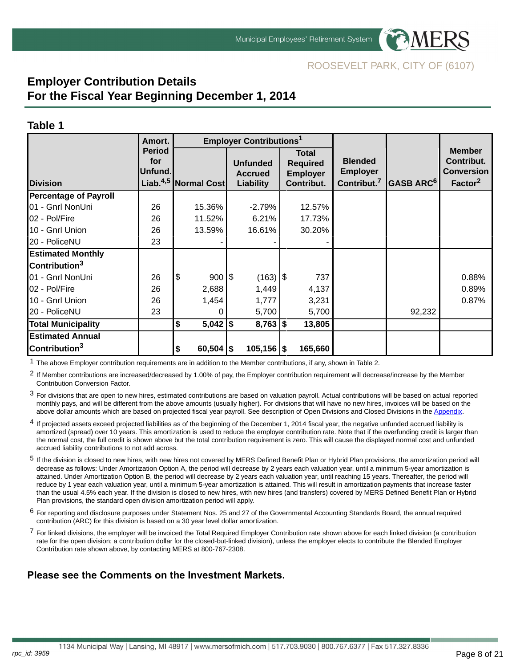

## **Employer Contribution Details For the Fiscal Year Beginning December 1, 2014**

#### **Table 1**

rpc\_id: 3959

|                              | Amort.                                                              |     |             | <b>Employer Contributions<sup>1</sup></b>      |    |                                                                  |                                                              |                            |                                                                         |
|------------------------------|---------------------------------------------------------------------|-----|-------------|------------------------------------------------|----|------------------------------------------------------------------|--------------------------------------------------------------|----------------------------|-------------------------------------------------------------------------|
| <b>Division</b>              | <b>Period</b><br>for<br>Unfund.<br>Liab. <sup>4,5</sup> Normal Cost |     |             | <b>Unfunded</b><br><b>Accrued</b><br>Liability |    | <b>Total</b><br><b>Required</b><br><b>Employer</b><br>Contribut. | <b>Blended</b><br><b>Employer</b><br>Contribut. <sup>7</sup> | $ \mathsf{GASE\,ARC}^{6} $ | <b>Member</b><br>Contribut.<br><b>Conversion</b><br>Factor <sup>2</sup> |
| <b>Percentage of Payroll</b> |                                                                     |     |             |                                                |    |                                                                  |                                                              |                            |                                                                         |
| 01 - Gnrl NonUni             | 26                                                                  |     | 15.36%      | $-2.79%$                                       |    | 12.57%                                                           |                                                              |                            |                                                                         |
| 02 - Pol/Fire                | 26                                                                  |     | 11.52%      | 6.21%                                          |    | 17.73%                                                           |                                                              |                            |                                                                         |
| 10 - Gnrl Union              | 26                                                                  |     | 13.59%      | 16.61%                                         |    | 30.20%                                                           |                                                              |                            |                                                                         |
| 20 - PoliceNU                | 23                                                                  |     |             |                                                |    |                                                                  |                                                              |                            |                                                                         |
| <b>Estimated Monthly</b>     |                                                                     |     |             |                                                |    |                                                                  |                                                              |                            |                                                                         |
| Contribution <sup>3</sup>    |                                                                     |     |             |                                                |    |                                                                  |                                                              |                            |                                                                         |
| 01 - Gnrl NonUni             | 26                                                                  | Ι\$ | 900 \$      | (163)                                          | \$ | 737                                                              |                                                              |                            | 0.88%                                                                   |
| 02 - Pol/Fire                | 26                                                                  |     | 2,688       | 1,449                                          |    | 4,137                                                            |                                                              |                            | 0.89%                                                                   |
| 10 - Gnrl Union              | 26                                                                  |     | 1,454       | 1,777                                          |    | 3,231                                                            |                                                              |                            | 0.87%                                                                   |
| 20 - PoliceNU                | 23                                                                  |     | 0           | 5,700                                          |    | 5,700                                                            |                                                              | 92,232                     |                                                                         |
| <b>Total Municipality</b>    |                                                                     | \$  | $5,042$ \$  | $8,763$ \\$                                    |    | 13,805                                                           |                                                              |                            |                                                                         |
| <b>Estimated Annual</b>      |                                                                     |     |             |                                                |    |                                                                  |                                                              |                            |                                                                         |
| Contribution <sup>3</sup>    |                                                                     | \$  | $60,504$ \$ | $105,156$ \\$                                  |    | 165,660                                                          |                                                              |                            |                                                                         |

 $1$  The above Employer contribution requirements are in addition to the Member contributions, if any, shown in Table 2.

2 If Member contributions are increased/decreased by 1.00% of pay, the Employer contribution requirement will decrease/increase by the Member Contribution Conversion Factor.

3 For divisions that are open to new hires, estimated contributions are based on valuation payroll. Actual contributions will be based on actual reported monthly pays, and will be different from the above amounts (usually higher). For divisions that will have no new hires, invoices will be based on the above dollar amounts which are based on projected fiscal year payroll. See description of Open Divisions and Closed Divisions in the [Appendix.](http://www.mersofmich.com/Portals/0/Assets/Resources/AAV-Appendix/MERS-2012AnnualActuarialValuation-Appendix.pdf)

- <sup>4</sup> If projected assets exceed projected liabilities as of the beginning of the December 1, 2014 fiscal year, the negative unfunded accrued liability is amortized (spread) over 10 years. This amortization is used to reduce the employer contribution rate. Note that if the overfunding credit is larger than the normal cost, the full credit is shown above but the total contribution requirement is zero. This will cause the displayed normal cost and unfunded accrued liability contributions to not add across.
- 5 If the division is closed to new hires, with new hires not covered by MERS Defined Benefit Plan or Hybrid Plan provisions, the amortization period will decrease as follows: Under Amortization Option A, the period will decrease by 2 years each valuation year, until a minimum 5-year amortization is attained. Under Amortization Option B, the period will decrease by 2 years each valuation year, until reaching 15 years. Thereafter, the period will reduce by 1 year each valuation year, until a minimum 5-year amortization is attained. This will result in amortization payments that increase faster than the usual 4.5% each year. If the division is closed to new hires, with new hires (and transfers) covered by MERS Defined Benefit Plan or Hybrid Plan provisions, the standard open division amortization period will apply.
- 6 For reporting and disclosure purposes under Statement Nos. 25 and 27 of the Governmental Accounting Standards Board, the annual required contribution (ARC) for this division is based on a 30 year level dollar amortization.
- $7$  For linked divisions, the employer will be invoiced the Total Required Employer Contribution rate shown above for each linked division (a contribution rate for the open division; a contribution dollar for the closed-but-linked division), unless the employer elects to contribute the Blended Employer Contribution rate shown above, by contacting MERS at 800-767-2308.

#### **Please see the Comments on the Investment Markets.**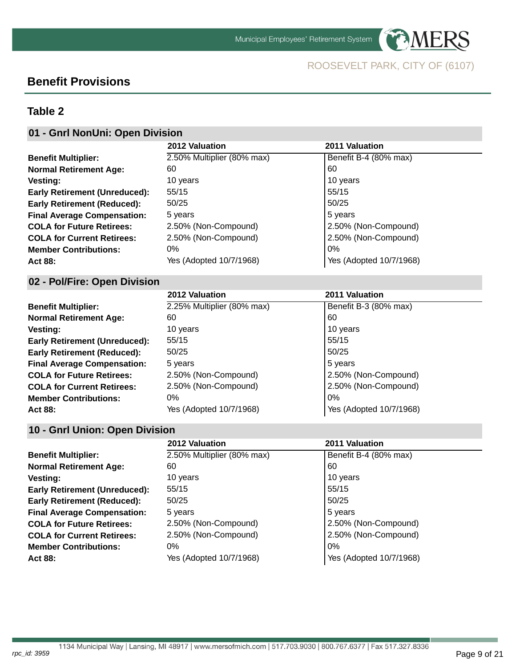

**PAMERS** 

## **Benefit Provisions**

## **Table 2**

## **01 - Gnrl NonUni: Open Division**

|                                      | 2012 Valuation             | 2011 Valuation          |
|--------------------------------------|----------------------------|-------------------------|
| <b>Benefit Multiplier:</b>           | 2.50% Multiplier (80% max) | Benefit B-4 (80% max)   |
| <b>Normal Retirement Age:</b>        | 60                         | 60                      |
| <b>Vesting:</b>                      | 10 years                   | 10 years                |
| <b>Early Retirement (Unreduced):</b> | 55/15                      | 55/15                   |
| <b>Early Retirement (Reduced):</b>   | 50/25                      | 50/25                   |
| <b>Final Average Compensation:</b>   | 5 years                    | 5 years                 |
| <b>COLA for Future Retirees:</b>     | 2.50% (Non-Compound)       | 2.50% (Non-Compound)    |
| <b>COLA for Current Retirees:</b>    | 2.50% (Non-Compound)       | 2.50% (Non-Compound)    |
| <b>Member Contributions:</b>         | 0%                         | $\log$                  |
| Act 88:                              | Yes (Adopted 10/7/1968)    | Yes (Adopted 10/7/1968) |

### **02 - Pol/Fire: Open Division**

|                                      | 2012 Valuation             | 2011 Valuation          |
|--------------------------------------|----------------------------|-------------------------|
| <b>Benefit Multiplier:</b>           | 2.25% Multiplier (80% max) | Benefit B-3 (80% max)   |
| <b>Normal Retirement Age:</b>        | 60                         | 60                      |
| Vesting:                             | 10 years                   | 10 years                |
| <b>Early Retirement (Unreduced):</b> | 55/15                      | 55/15                   |
| <b>Early Retirement (Reduced):</b>   | 50/25                      | 50/25                   |
| <b>Final Average Compensation:</b>   | 5 years                    | 5 years                 |
| <b>COLA for Future Retirees:</b>     | 2.50% (Non-Compound)       | 2.50% (Non-Compound)    |
| <b>COLA for Current Retirees:</b>    | 2.50% (Non-Compound)       | 2.50% (Non-Compound)    |
| <b>Member Contributions:</b>         | 0%                         | 0%                      |
| Act 88:                              | Yes (Adopted 10/7/1968)    | Yes (Adopted 10/7/1968) |

### **10 - Gnrl Union: Open Division**

|                                      | 2012 Valuation             | 2011 Valuation          |
|--------------------------------------|----------------------------|-------------------------|
| <b>Benefit Multiplier:</b>           | 2.50% Multiplier (80% max) | Benefit B-4 (80% max)   |
| <b>Normal Retirement Age:</b>        | 60                         | 60                      |
| <b>Vesting:</b>                      | 10 years                   | 10 years                |
| <b>Early Retirement (Unreduced):</b> | 55/15                      | 55/15                   |
| <b>Early Retirement (Reduced):</b>   | 50/25                      | 50/25                   |
| <b>Final Average Compensation:</b>   | 5 years                    | 5 years                 |
| <b>COLA for Future Retirees:</b>     | 2.50% (Non-Compound)       | 2.50% (Non-Compound)    |
| <b>COLA for Current Retirees:</b>    | 2.50% (Non-Compound)       | 2.50% (Non-Compound)    |
| <b>Member Contributions:</b>         | 0%                         | $0\%$                   |
| Act 88:                              | Yes (Adopted 10/7/1968)    | Yes (Adopted 10/7/1968) |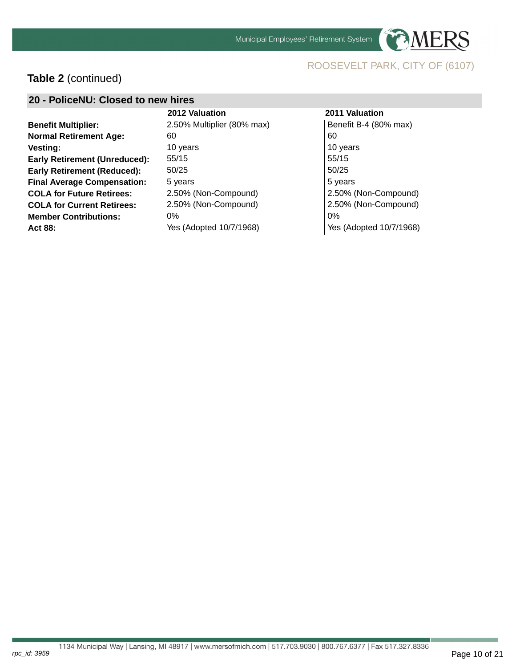

**PAMERS** 

## **Table 2** (continued)

| 20 - PoliceNU: Closed to new hires   |                            |                         |  |  |  |  |  |  |  |
|--------------------------------------|----------------------------|-------------------------|--|--|--|--|--|--|--|
|                                      | 2012 Valuation             | 2011 Valuation          |  |  |  |  |  |  |  |
| <b>Benefit Multiplier:</b>           | 2.50% Multiplier (80% max) | Benefit B-4 (80% max)   |  |  |  |  |  |  |  |
| <b>Normal Retirement Age:</b>        | 60                         | 60                      |  |  |  |  |  |  |  |
| Vesting:                             | 10 years                   | 10 years                |  |  |  |  |  |  |  |
| <b>Early Retirement (Unreduced):</b> | 55/15                      | 55/15                   |  |  |  |  |  |  |  |
| <b>Early Retirement (Reduced):</b>   | 50/25                      | 50/25                   |  |  |  |  |  |  |  |
| <b>Final Average Compensation:</b>   | 5 years                    | 5 years                 |  |  |  |  |  |  |  |
| <b>COLA for Future Retirees:</b>     | 2.50% (Non-Compound)       | 2.50% (Non-Compound)    |  |  |  |  |  |  |  |
| <b>COLA for Current Retirees:</b>    | 2.50% (Non-Compound)       | 2.50% (Non-Compound)    |  |  |  |  |  |  |  |
| <b>Member Contributions:</b>         | 0%                         | $0\%$                   |  |  |  |  |  |  |  |
| Act 88:                              | Yes (Adopted 10/7/1968)    | Yes (Adopted 10/7/1968) |  |  |  |  |  |  |  |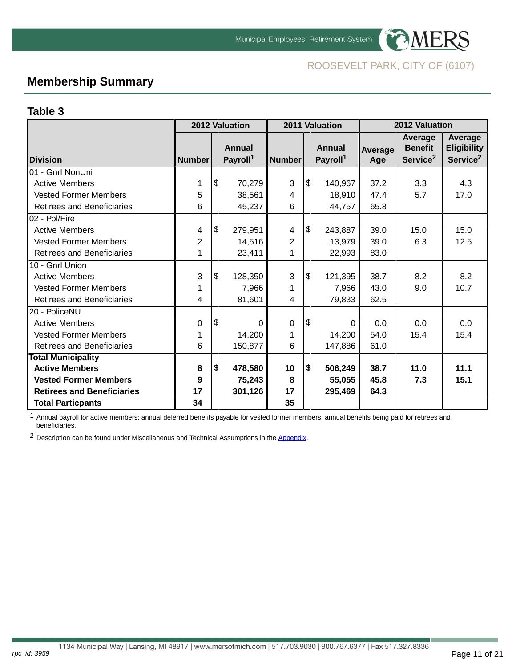



## **Membership Summary**

#### **Table 3**

|                                   |                | 2012 Valuation                        | 2011 Valuation |            | 2012 Valuation                        |                |                                                   |                                                       |
|-----------------------------------|----------------|---------------------------------------|----------------|------------|---------------------------------------|----------------|---------------------------------------------------|-------------------------------------------------------|
| <b>IDivision</b>                  | <b>Number</b>  | <b>Annual</b><br>Payroll <sup>1</sup> | <b>Number</b>  |            | <b>Annual</b><br>Payroll <sup>1</sup> | Average<br>Age | Average<br><b>Benefit</b><br>Service <sup>2</sup> | Average<br><b>Eligibility</b><br>Service <sup>2</sup> |
| 01 - Gnrl NonUni                  |                |                                       |                |            |                                       |                |                                                   |                                                       |
| <b>Active Members</b>             | 1              | \$<br>70,279                          | 3              | l\$        | 140,967                               | 37.2           | 3.3                                               | 4.3                                                   |
| <b>Vested Former Members</b>      | 5              | 38,561                                | 4              |            | 18,910                                | 47.4           | 5.7                                               | 17.0                                                  |
| <b>Retirees and Beneficiaries</b> | 6              | 45,237                                | 6              |            | 44,757                                | 65.8           |                                                   |                                                       |
| 02 - Pol/Fire                     |                |                                       |                |            |                                       |                |                                                   |                                                       |
| <b>Active Members</b>             | 4              | \$<br>279,951                         | 4              | $\sqrt{3}$ | 243,887                               | 39.0           | 15.0                                              | 15.0                                                  |
| <b>Vested Former Members</b>      | $\overline{2}$ | 14,516                                | $\overline{2}$ |            | 13,979                                | 39.0           | 6.3                                               | 12.5                                                  |
| Retirees and Beneficiaries        | 1              | 23,411                                | 1              |            | 22,993                                | 83.0           |                                                   |                                                       |
| 10 - Gnrl Union                   |                |                                       |                |            |                                       |                |                                                   |                                                       |
| <b>Active Members</b>             | 3              | \$<br>128,350                         | 3              | \$         | 121,395                               | 38.7           | 8.2                                               | 8.2                                                   |
| <b>Vested Former Members</b>      | 1              | 7,966                                 | 1              |            | 7,966                                 | 43.0           | 9.0                                               | 10.7                                                  |
| <b>Retirees and Beneficiaries</b> | 4              | 81,601                                | 4              |            | 79,833                                | 62.5           |                                                   |                                                       |
| 20 - PoliceNU                     |                |                                       |                |            |                                       |                |                                                   |                                                       |
| <b>Active Members</b>             | 0              | \$<br>$\Omega$                        | $\mathbf 0$    | 1\$        | 0                                     | 0.0            | 0.0                                               | 0.0                                                   |
| <b>Vested Former Members</b>      | $\mathbf{1}$   | 14,200                                | 1              |            | 14,200                                | 54.0           | 15.4                                              | 15.4                                                  |
| Retirees and Beneficiaries        | 6              | 150,877                               | 6              |            | 147,886                               | 61.0           |                                                   |                                                       |
| <b>Total Municipality</b>         |                |                                       |                |            |                                       |                |                                                   |                                                       |
| <b>Active Members</b>             | 8              | \$<br>478,580                         | 10             | I\$        | 506,249                               | 38.7           | 11.0                                              | 11.1                                                  |
| <b>Vested Former Members</b>      | 9              | 75,243                                | 8              |            | 55,055                                | 45.8           | 7.3                                               | 15.1                                                  |
| <b>Retirees and Beneficiaries</b> | 17             | 301,126                               | 17             |            | 295,469                               | 64.3           |                                                   |                                                       |
| <b>Total Particpants</b>          | 34             |                                       | 35             |            |                                       |                |                                                   |                                                       |

1 Annual payroll for active members; annual deferred benefits payable for vested former members; annual benefits being paid for retirees and beneficiaries.

<sup>2</sup> Description can be found under Miscellaneous and Technical Assumptions in the [Appendix.](http://www.mersofmich.com/Portals/0/Assets/Resources/AAV-Appendix/MERS-2012AnnualActuarialValuation-Appendix.pdf)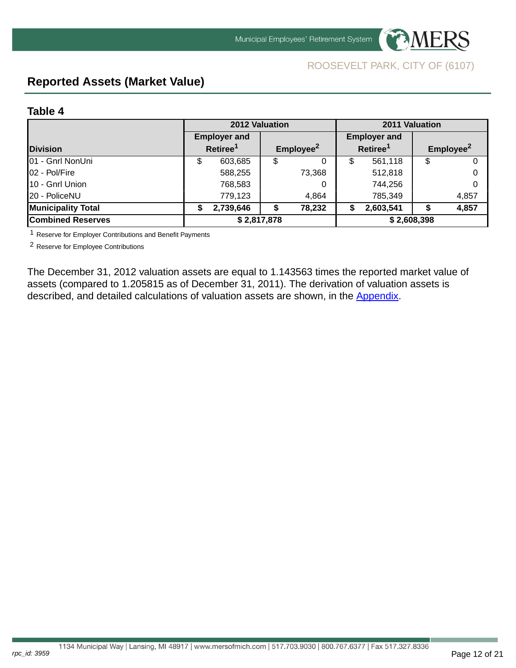



## <span id="page-11-0"></span>**Reported Assets (Market Value)**

#### **Table 4**

|                           | 2012 Valuation |                      |    | 2011 Valuation        |   |                      |   |                       |
|---------------------------|----------------|----------------------|----|-----------------------|---|----------------------|---|-----------------------|
|                           |                | <b>Employer and</b>  |    |                       |   | <b>Employer and</b>  |   |                       |
| <b>Division</b>           |                | Retiree <sup>1</sup> |    | Employee <sup>2</sup> |   | Retiree <sup>1</sup> |   | Employee <sup>2</sup> |
| 01 - Gnrl NonUni          | \$             | 603,685              | \$ | 0                     | S | 561,118              | S |                       |
| 02 - Pol/Fire             |                | 588,255              |    | 73,368                |   | 512,818              |   |                       |
| 10 - Gnrl Union           |                | 768,583              |    | 0                     |   | 744,256              |   |                       |
| 20 - PoliceNU             |                | 779,123              |    | 4,864                 |   | 785,349              |   | 4,857                 |
| <b>Municipality Total</b> | S              | 2,739,646            | \$ | 78,232                | S | 2,603,541            |   | 4,857                 |
| <b>Combined Reserves</b>  | \$2,817,878    |                      |    | \$2,608,398           |   |                      |   |                       |

1 Reserve for Employer Contributions and Benefit Payments

2 Reserve for Employee Contributions

The December 31, 2012 valuation assets are equal to 1.143563 times the reported market value of assets (compared to 1.205815 as of December 31, 2011). The derivation of valuation assets is described, and detailed calculations of valuation assets are shown, in the [Appendix.](http://www.mersofmich.com/Portals/0/Assets/Resources/AAV-Appendix/MERS-2012AnnualActuarialValuation-Appendix.pdf)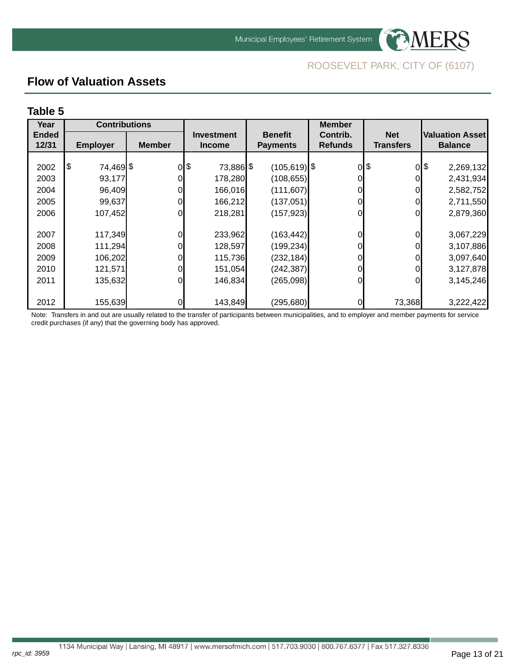

## **Flow of Valuation Assets**

#### **Table 5**

rpc\_id: 3959

| Year         | <b>Contributions</b> |               |                   |                 | <b>Member</b>  |                  |                      |
|--------------|----------------------|---------------|-------------------|-----------------|----------------|------------------|----------------------|
| <b>Ended</b> |                      |               | <b>Investment</b> | <b>Benefit</b>  | Contrib.       | <b>Net</b>       | Valuation Asset      |
| 12/31        | <b>Employer</b>      | <b>Member</b> | <b>Income</b>     | <b>Payments</b> | <b>Refunds</b> | <b>Transfers</b> | <b>Balance</b>       |
|              |                      |               |                   |                 |                |                  |                      |
| 2002         | 1\$<br>74,469 \$     |               | 0 \$<br>73,886 \$ | $(105, 619)$ \$ | Οl             | \$               | $0$  \$<br>2,269,132 |
| 2003         | 93,177               |               | 178,280           | (108, 655)      |                |                  | 2,431,934            |
| 2004         | 96,409               | 0             | 166,016           | (111,607)       | Οl             | Οl               | 2,582,752            |
| 2005         | 99,637               | 0             | 166,212           | (137,051)       |                | 0                | 2,711,550            |
| 2006         | 107,452              | 0             | 218,281           | (157, 923)      | Οl             | Οl               | 2,879,360            |
|              |                      |               |                   |                 |                |                  |                      |
| 2007         | 117,349              | 0             | 233,962           | (163, 442)      |                | Οl               | 3,067,229            |
| 2008         | 111,294              |               | 128,597           | (199,234)       | 0              |                  | 3,107,886            |
| 2009         | 106,202              | 0             | 115,736           | (232, 184)      |                |                  | 3,097,640            |
| 2010         | 121,571              | 0             | 151,054           | (242, 387)      |                |                  | 3,127,878            |
| 2011         | 135,632              | 0             | 146,834           | (265,098)       | Οl             | 0                | 3,145,246            |
|              |                      |               |                   |                 |                |                  |                      |
| 2012         | 155,639              | 0             | 143,849           | (295,680)       | 01             | 73,368           | 3,222,422            |

Note: Transfers in and out are usually related to the transfer of participants between municipalities, and to employer and member payments for service credit purchases (if any) that the governing body has approved.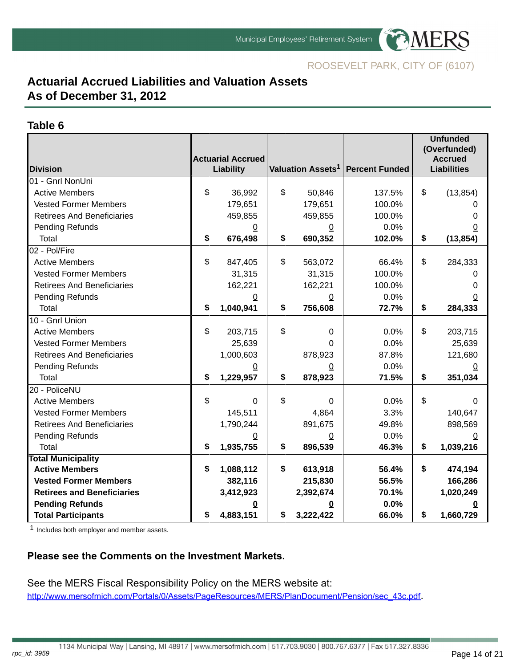

## **Actuarial Accrued Liabilities and Valuation Assets As of December 31, 2012**

#### **Table 6**

|                                   |                          |                |                               |                       | <b>Unfunded</b><br>(Overfunded) |
|-----------------------------------|--------------------------|----------------|-------------------------------|-----------------------|---------------------------------|
|                                   | <b>Actuarial Accrued</b> |                |                               |                       | <b>Accrued</b>                  |
| <b>Division</b>                   | <b>Liability</b>         |                | Valuation Assets <sup>1</sup> | <b>Percent Funded</b> | <b>Liabilities</b>              |
| 01 - Gnrl NonUni                  |                          |                |                               |                       |                                 |
| <b>Active Members</b>             | \$<br>36,992             | \$             | 50,846                        | 137.5%                | \$<br>(13, 854)                 |
| <b>Vested Former Members</b>      | 179,651                  |                | 179,651                       | 100.0%                |                                 |
| <b>Retirees And Beneficiaries</b> | 459,855                  |                | 459,855                       | 100.0%                | O                               |
| Pending Refunds                   | $\overline{0}$           |                | $\overline{0}$                | 0.0%                  | 0                               |
| Total                             | \$<br>676,498            | \$             | 690,352                       | 102.0%                | \$<br>(13, 854)                 |
| 02 - Pol/Fire                     |                          |                |                               |                       |                                 |
| <b>Active Members</b>             | \$<br>847,405            | \$             | 563,072                       | 66.4%                 | \$<br>284,333                   |
| <b>Vested Former Members</b>      | 31,315                   |                | 31,315                        | 100.0%                |                                 |
| <b>Retirees And Beneficiaries</b> | 162,221                  |                | 162,221                       | 100.0%                | 0                               |
| Pending Refunds                   | 0                        |                | 0                             | 0.0%                  | 0                               |
| Total                             | \$<br>1,040,941          | \$             | 756,608                       | 72.7%                 | \$<br>284,333                   |
| 10 - Gnrl Union                   |                          |                |                               |                       |                                 |
| <b>Active Members</b>             | \$<br>203,715            | \$             | 0                             | 0.0%                  | \$<br>203,715                   |
| <b>Vested Former Members</b>      | 25,639                   |                | $\Omega$                      | 0.0%                  | 25,639                          |
| <b>Retirees And Beneficiaries</b> | 1,000,603                |                | 878,923                       | 87.8%                 | 121,680                         |
| Pending Refunds                   | $\overline{0}$           |                | $\mathbf 0$                   | 0.0%                  | 0                               |
| <b>Total</b>                      | \$<br>1,229,957          | \$             | 878,923                       | 71.5%                 | \$<br>351,034                   |
| 20 - PoliceNU                     |                          |                |                               |                       |                                 |
| <b>Active Members</b>             | \$<br>$\Omega$           | $\mathfrak{S}$ | $\mathbf 0$                   | 0.0%                  | \$<br>$\Omega$                  |
| <b>Vested Former Members</b>      | 145,511                  |                | 4,864                         | 3.3%                  | 140,647                         |
| <b>Retirees And Beneficiaries</b> | 1,790,244                |                | 891,675                       | 49.8%                 | 898,569                         |
| Pending Refunds                   | $\overline{0}$           |                | $\mathbf 0$                   | 0.0%                  | 0                               |
| <b>Total</b>                      | \$<br>1,935,755          | \$             | 896,539                       | 46.3%                 | \$<br>1,039,216                 |
| <b>Total Municipality</b>         |                          |                |                               |                       |                                 |
| <b>Active Members</b>             | \$<br>1,088,112          | \$             | 613,918                       | 56.4%                 | \$<br>474,194                   |
| <b>Vested Former Members</b>      | 382,116                  |                | 215,830                       | 56.5%                 | 166,286                         |
| <b>Retirees and Beneficiaries</b> | 3,412,923                |                | 2,392,674                     | 70.1%                 | 1,020,249                       |
| <b>Pending Refunds</b>            | 0                        |                | 0                             | 0.0%                  |                                 |
| <b>Total Participants</b>         | \$<br>4,883,151          | \$             | 3,222,422                     | 66.0%                 | \$<br>1,660,729                 |

1 Includes both employer and member assets.

#### **Please see the Comments on the Investment Markets.**

See the MERS Fiscal Responsibility Policy on the MERS website at: [http://www.mersofmich.com/Portals/0/Assets/PageResources/MERS/PlanDocument/Pension/sec\\_43c.pdf](http://www.mersofmich.com/Portals/0/Assets/PageResources/MERS/PlanDocument/Pension/sec_43c.pdf).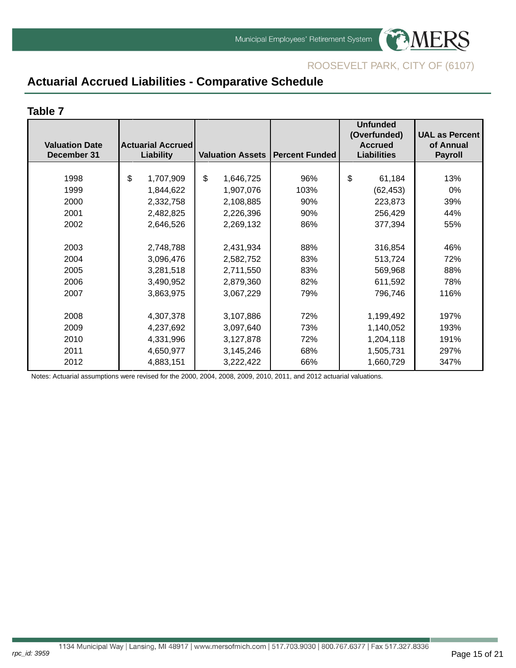

## **Actuarial Accrued Liabilities - Comparative Schedule**

#### **Table 7**

rpc\_id: 3959

| <b>Valuation Date</b><br>December 31 | <b>Actuarial Accrued</b><br><b>Liability</b> | <b>Valuation Assets   Percent Funded</b> |      | <b>Unfunded</b><br>(Overfunded)<br><b>Accrued</b><br><b>Liabilities</b> | <b>UAL as Percent</b><br>of Annual<br><b>Payroll</b> |
|--------------------------------------|----------------------------------------------|------------------------------------------|------|-------------------------------------------------------------------------|------------------------------------------------------|
|                                      |                                              |                                          |      |                                                                         |                                                      |
| 1998                                 | \$<br>1,707,909                              | \$<br>1,646,725                          | 96%  | \$<br>61,184                                                            | 13%                                                  |
| 1999                                 | 1,844,622                                    | 1,907,076                                | 103% | (62, 453)                                                               | $0\%$                                                |
| 2000                                 | 2,332,758                                    | 2,108,885                                | 90%  | 223,873                                                                 | 39%                                                  |
| 2001                                 | 2,482,825                                    | 2,226,396                                | 90%  | 256,429                                                                 | 44%                                                  |
| 2002                                 | 2,646,526                                    | 2,269,132                                | 86%  | 377,394                                                                 | 55%                                                  |
|                                      |                                              |                                          |      |                                                                         |                                                      |
| 2003                                 | 2,748,788                                    | 2,431,934                                | 88%  | 316,854                                                                 | 46%                                                  |
| 2004                                 | 3,096,476                                    | 2,582,752                                | 83%  | 513,724                                                                 | 72%                                                  |
| 2005                                 | 3,281,518                                    | 2,711,550                                | 83%  | 569,968                                                                 | 88%                                                  |
| 2006                                 | 3,490,952                                    | 2,879,360                                | 82%  | 611,592                                                                 | 78%                                                  |
| 2007                                 | 3,863,975                                    | 3,067,229                                | 79%  | 796,746                                                                 | 116%                                                 |
|                                      |                                              |                                          |      |                                                                         |                                                      |
| 2008                                 | 4,307,378                                    | 3,107,886                                | 72%  | 1,199,492                                                               | 197%                                                 |
| 2009                                 | 4,237,692                                    | 3,097,640                                | 73%  | 1,140,052                                                               | 193%                                                 |
| 2010                                 | 4,331,996                                    | 3,127,878                                | 72%  | 1,204,118                                                               | 191%                                                 |
| 2011                                 | 4,650,977                                    | 3,145,246                                | 68%  | 1,505,731                                                               | 297%                                                 |
| 2012                                 | 4,883,151                                    | 3,222,422                                | 66%  | 1,660,729                                                               | 347%                                                 |

Notes: Actuarial assumptions were revised for the 2000, 2004, 2008, 2009, 2010, 2011, and 2012 actuarial valuations.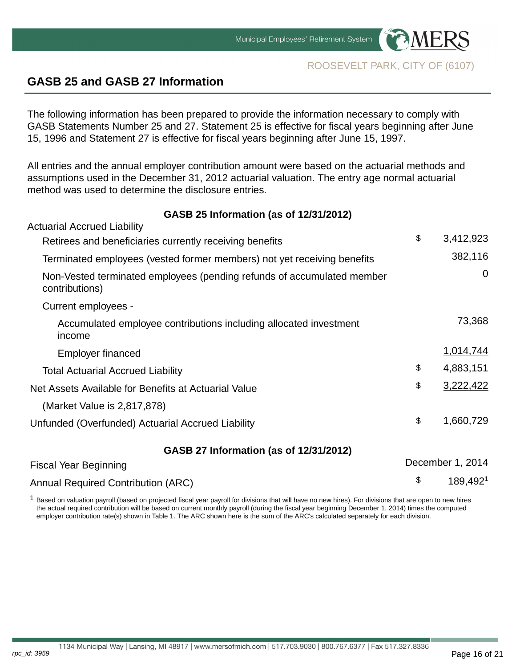



## <span id="page-15-0"></span>**GASB 25 and GASB 27 Information**

rpc\_id: 3959

The following information has been prepared to provide the information necessary to comply with GASB Statements Number 25 and 27. Statement 25 is effective for fiscal years beginning after June 15, 1996 and Statement 27 is effective for fiscal years beginning after June 15, 1997.

All entries and the annual employer contribution amount were based on the actuarial methods and assumptions used in the December 31, 2012 actuarial valuation. The entry age normal actuarial method was used to determine the disclosure entries.

#### **GASB 25 Information (as of 12/31/2012)**

| \$<br>3,412,923  |
|------------------|
| 382,116          |
| $\mathbf 0$      |
|                  |
| 73,368           |
| 1,014,744        |
| \$<br>4,883,151  |
| \$<br>3,222,422  |
|                  |
| \$<br>1,660,729  |
|                  |
| December 1, 2014 |
| \$<br>189,4921   |
|                  |

 $1$  Based on valuation payroll (based on projected fiscal year payroll for divisions that will have no new hires). For divisions that are open to new hires the actual required contribution will be based on current monthly payroll (during the fiscal year beginning December 1, 2014) times the computed employer contribution rate(s) shown in Table 1. The ARC shown here is the sum of the ARC's calculated separately for each division.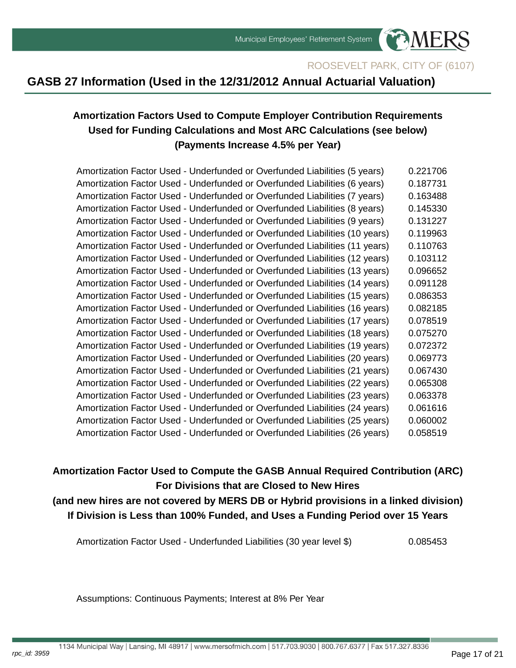

## **GASB 27 Information (Used in the 12/31/2012 Annual Actuarial Valuation)**

## **Amortization Factors Used to Compute Employer Contribution Requirements Used for Funding Calculations and Most ARC Calculations (see below) (Payments Increase 4.5% per Year)**

Amortization Factor Used - Underfunded or Overfunded Liabilities (5 years) 0.221706 Amortization Factor Used - Underfunded or Overfunded Liabilities (6 years) 0.187731 Amortization Factor Used - Underfunded or Overfunded Liabilities (7 years) 0.163488 Amortization Factor Used - Underfunded or Overfunded Liabilities (8 years) 0.145330 Amortization Factor Used - Underfunded or Overfunded Liabilities (9 years) 0.131227 Amortization Factor Used - Underfunded or Overfunded Liabilities (10 years) 0.119963 Amortization Factor Used - Underfunded or Overfunded Liabilities (11 years) 0.110763 Amortization Factor Used - Underfunded or Overfunded Liabilities (12 years) 0.103112 Amortization Factor Used - Underfunded or Overfunded Liabilities (13 years) 0.096652 Amortization Factor Used - Underfunded or Overfunded Liabilities (14 years) 0.091128 Amortization Factor Used - Underfunded or Overfunded Liabilities (15 years) 0.086353 Amortization Factor Used - Underfunded or Overfunded Liabilities (16 years) 0.082185 Amortization Factor Used - Underfunded or Overfunded Liabilities (17 years) 0.078519 Amortization Factor Used - Underfunded or Overfunded Liabilities (18 years) 0.075270 Amortization Factor Used - Underfunded or Overfunded Liabilities (19 years) 0.072372 Amortization Factor Used - Underfunded or Overfunded Liabilities (20 years) 0.069773 Amortization Factor Used - Underfunded or Overfunded Liabilities (21 years) 0.067430 Amortization Factor Used - Underfunded or Overfunded Liabilities (22 years) 0.065308 Amortization Factor Used - Underfunded or Overfunded Liabilities (23 years) 0.063378 Amortization Factor Used - Underfunded or Overfunded Liabilities (24 years) 0.061616 Amortization Factor Used - Underfunded or Overfunded Liabilities (25 years) 0.060002 Amortization Factor Used - Underfunded or Overfunded Liabilities (26 years) 0.058519

**Amortization Factor Used to Compute the GASB Annual Required Contribution (ARC) For Divisions that are Closed to New Hires**

**(and new hires are not covered by MERS DB or Hybrid provisions in a linked division) If Division is Less than 100% Funded, and Uses a Funding Period over 15 Years**

Amortization Factor Used - Underfunded Liabilities (30 year level \$) 0.085453

Assumptions: Continuous Payments; Interest at 8% Per Year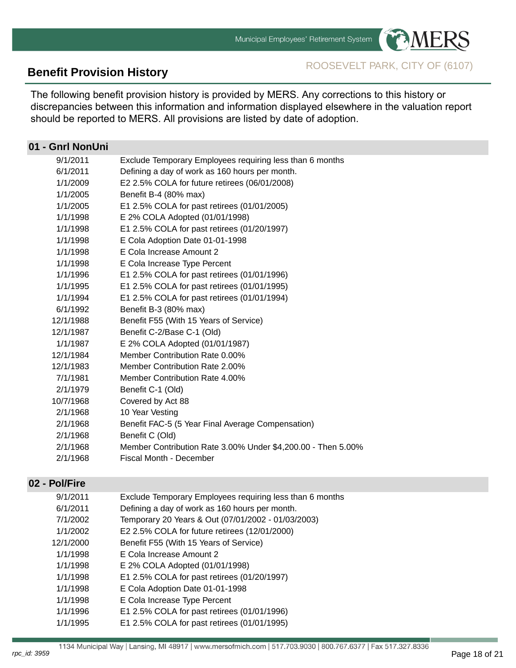

**Benefit Provision History** ROOSEVELT PARK, CITY OF (6107)

The following benefit provision history is provided by MERS. Any corrections to this history or discrepancies between this information and information displayed elsewhere in the valuation report should be reported to MERS. All provisions are listed by date of adoption.

### **01 - Gnrl NonUni**

| 9/1/2011  | Exclude Temporary Employees requiring less than 6 months     |
|-----------|--------------------------------------------------------------|
| 6/1/2011  | Defining a day of work as 160 hours per month.               |
| 1/1/2009  | E2 2.5% COLA for future retirees (06/01/2008)                |
| 1/1/2005  | Benefit B-4 (80% max)                                        |
| 1/1/2005  | E1 2.5% COLA for past retirees (01/01/2005)                  |
| 1/1/1998  | E 2% COLA Adopted (01/01/1998)                               |
| 1/1/1998  | E1 2.5% COLA for past retirees (01/20/1997)                  |
| 1/1/1998  | E Cola Adoption Date 01-01-1998                              |
| 1/1/1998  | E Cola Increase Amount 2                                     |
| 1/1/1998  | E Cola Increase Type Percent                                 |
| 1/1/1996  | E1 2.5% COLA for past retirees (01/01/1996)                  |
| 1/1/1995  | E1 2.5% COLA for past retirees (01/01/1995)                  |
| 1/1/1994  | E1 2.5% COLA for past retirees (01/01/1994)                  |
| 6/1/1992  | Benefit B-3 (80% max)                                        |
| 12/1/1988 | Benefit F55 (With 15 Years of Service)                       |
| 12/1/1987 | Benefit C-2/Base C-1 (Old)                                   |
| 1/1/1987  | E 2% COLA Adopted (01/01/1987)                               |
| 12/1/1984 | Member Contribution Rate 0.00%                               |
| 12/1/1983 | Member Contribution Rate 2.00%                               |
| 7/1/1981  | Member Contribution Rate 4.00%                               |
| 2/1/1979  | Benefit C-1 (Old)                                            |
| 10/7/1968 | Covered by Act 88                                            |
| 2/1/1968  | 10 Year Vesting                                              |
| 2/1/1968  | Benefit FAC-5 (5 Year Final Average Compensation)            |
| 2/1/1968  | Benefit C (Old)                                              |
| 2/1/1968  | Member Contribution Rate 3.00% Under \$4,200.00 - Then 5.00% |
| 2/1/1968  | Fiscal Month - December                                      |
|           |                                                              |

#### **02 - Pol/Fire**

| 9/1/2011  | Exclude Temporary Employees requiring less than 6 months |
|-----------|----------------------------------------------------------|
| 6/1/2011  | Defining a day of work as 160 hours per month.           |
| 7/1/2002  | Temporary 20 Years & Out (07/01/2002 - 01/03/2003)       |
| 1/1/2002  | E2 2.5% COLA for future retirees (12/01/2000)            |
| 12/1/2000 | Benefit F55 (With 15 Years of Service)                   |
| 1/1/1998  | E Cola Increase Amount 2                                 |
| 1/1/1998  | E 2% COLA Adopted (01/01/1998)                           |
| 1/1/1998  | E1 2.5% COLA for past retirees (01/20/1997)              |
| 1/1/1998  | E Cola Adoption Date 01-01-1998                          |
| 1/1/1998  | E Cola Increase Type Percent                             |
| 1/1/1996  | E1 2.5% COLA for past retirees (01/01/1996)              |
| 1/1/1995  | E1 2.5% COLA for past retirees (01/01/1995)              |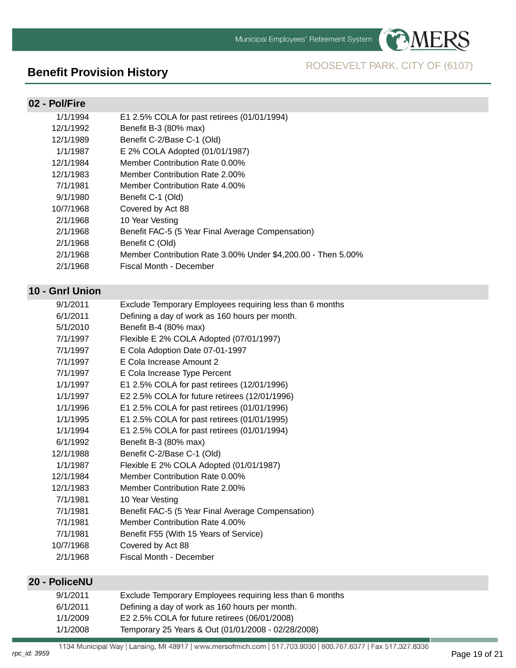

# **Benefit Provision History** ROOSEVELT PARK, CITY OF (6107)

#### **02 - Pol/Fire**

| 1/1/1994  | E1 2.5% COLA for past retirees (01/01/1994)                  |
|-----------|--------------------------------------------------------------|
| 12/1/1992 | Benefit B-3 (80% max)                                        |
| 12/1/1989 | Benefit C-2/Base C-1 (Old)                                   |
| 1/1/1987  | E 2% COLA Adopted (01/01/1987)                               |
| 12/1/1984 | Member Contribution Rate 0.00%                               |
| 12/1/1983 | Member Contribution Rate 2.00%                               |
| 7/1/1981  | Member Contribution Rate 4,00%                               |
| 9/1/1980  | Benefit C-1 (Old)                                            |
| 10/7/1968 | Covered by Act 88                                            |
| 2/1/1968  | 10 Year Vesting                                              |
| 2/1/1968  | Benefit FAC-5 (5 Year Final Average Compensation)            |
| 2/1/1968  | Benefit C (Old)                                              |
| 2/1/1968  | Member Contribution Rate 3.00% Under \$4,200.00 - Then 5.00% |
| 2/1/1968  | Fiscal Month - December                                      |
|           |                                                              |

## **10 - Gnrl Union**

| 9/1/2011  | Exclude Temporary Employees requiring less than 6 months |
|-----------|----------------------------------------------------------|
| 6/1/2011  | Defining a day of work as 160 hours per month.           |
| 5/1/2010  | Benefit B-4 (80% max)                                    |
| 7/1/1997  | Flexible E 2% COLA Adopted (07/01/1997)                  |
| 7/1/1997  | E Cola Adoption Date 07-01-1997                          |
| 7/1/1997  | E Cola Increase Amount 2                                 |
| 7/1/1997  | E Cola Increase Type Percent                             |
| 1/1/1997  | E1 2.5% COLA for past retirees (12/01/1996)              |
| 1/1/1997  | E2 2.5% COLA for future retirees (12/01/1996)            |
| 1/1/1996  | E1 2.5% COLA for past retirees (01/01/1996)              |
| 1/1/1995  | E1 2.5% COLA for past retirees (01/01/1995)              |
| 1/1/1994  | E1 2.5% COLA for past retirees (01/01/1994)              |
| 6/1/1992  | Benefit B-3 (80% max)                                    |
| 12/1/1988 | Benefit C-2/Base C-1 (Old)                               |
| 1/1/1987  | Flexible E 2% COLA Adopted (01/01/1987)                  |
| 12/1/1984 | Member Contribution Rate 0.00%                           |
| 12/1/1983 | Member Contribution Rate 2.00%                           |
| 7/1/1981  | 10 Year Vesting                                          |
| 7/1/1981  | Benefit FAC-5 (5 Year Final Average Compensation)        |
| 7/1/1981  | Member Contribution Rate 4.00%                           |
| 7/1/1981  | Benefit F55 (With 15 Years of Service)                   |
| 10/7/1968 | Covered by Act 88                                        |
| 2/1/1968  | Fiscal Month - December                                  |
|           |                                                          |

#### **20 - PoliceNU**

| 9/1/2011 | Exclude Temporary Employees requiring less than 6 months |
|----------|----------------------------------------------------------|
| 6/1/2011 | Defining a day of work as 160 hours per month.           |
| 1/1/2009 | E2 2.5% COLA for future retirees (06/01/2008)            |
| 1/1/2008 | Temporary 25 Years & Out (01/01/2008 - 02/28/2008)       |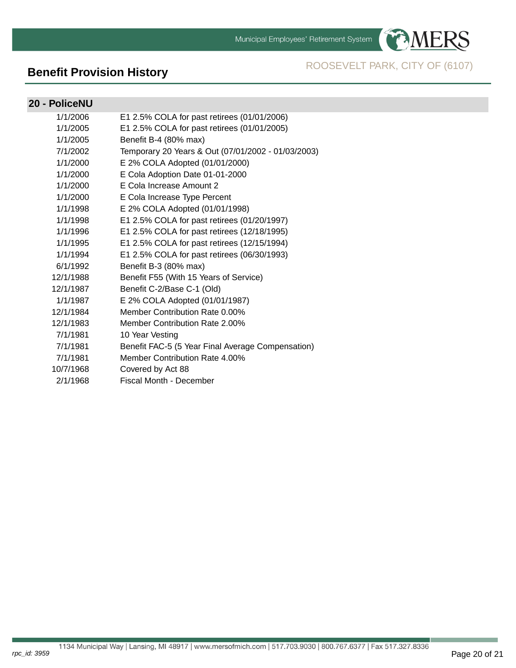Municipal Employees' Retirement System



**PAMERS** 

#### **20 - PoliceNU**

rpc\_id: 3959

| 1/1/2006  | E1 2.5% COLA for past retirees (01/01/2006)        |
|-----------|----------------------------------------------------|
| 1/1/2005  | E1 2.5% COLA for past retirees (01/01/2005)        |
| 1/1/2005  | Benefit B-4 (80% max)                              |
| 7/1/2002  | Temporary 20 Years & Out (07/01/2002 - 01/03/2003) |
| 1/1/2000  | E 2% COLA Adopted (01/01/2000)                     |
| 1/1/2000  | E Cola Adoption Date 01-01-2000                    |
| 1/1/2000  | E Cola Increase Amount 2                           |
| 1/1/2000  | E Cola Increase Type Percent                       |
| 1/1/1998  | E 2% COLA Adopted (01/01/1998)                     |
| 1/1/1998  | E1 2.5% COLA for past retirees (01/20/1997)        |
| 1/1/1996  | E1 2.5% COLA for past retirees (12/18/1995)        |
| 1/1/1995  | E1 2.5% COLA for past retirees (12/15/1994)        |
| 1/1/1994  | E1 2.5% COLA for past retirees (06/30/1993)        |
| 6/1/1992  | Benefit B-3 (80% max)                              |
| 12/1/1988 | Benefit F55 (With 15 Years of Service)             |
| 12/1/1987 | Benefit C-2/Base C-1 (Old)                         |
| 1/1/1987  | E 2% COLA Adopted (01/01/1987)                     |
| 12/1/1984 | Member Contribution Rate 0.00%                     |
| 12/1/1983 | <b>Member Contribution Rate 2.00%</b>              |
| 7/1/1981  | 10 Year Vesting                                    |
| 7/1/1981  | Benefit FAC-5 (5 Year Final Average Compensation)  |
| 7/1/1981  | Member Contribution Rate 4.00%                     |
| 10/7/1968 | Covered by Act 88                                  |
| 2/1/1968  | Fiscal Month - December                            |